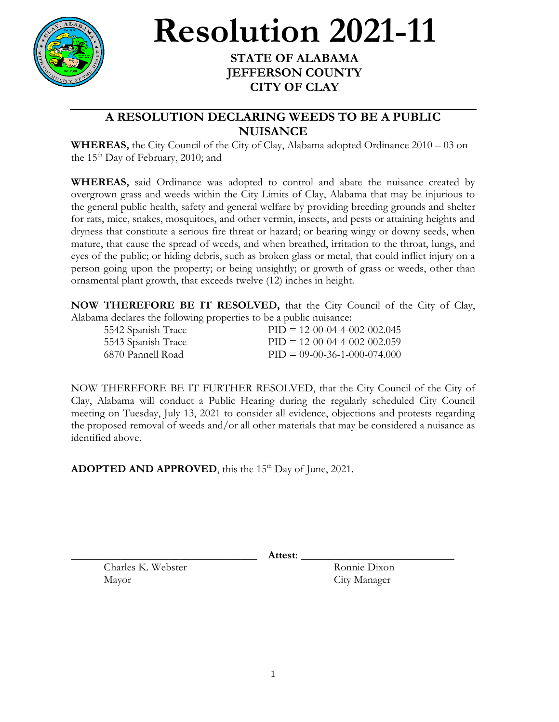

## **Resolution 2021-11**

## **STATE OF ALABAMA JEFFERSON COUNTY CITY OF CLAY**

## **A RESOLUTION DECLARING WEEDS TO BE A PUBLIC NUISANCE**

**WHEREAS,** the City Council of the City of Clay, Alabama adopted Ordinance 2010 – 03 on the  $15<sup>th</sup>$  Day of February, 2010; and

**WHEREAS,** said Ordinance was adopted to control and abate the nuisance created by overgrown grass and weeds within the City Limits of Clay, Alabama that may be injurious to the general public health, safety and general welfare by providing breeding grounds and shelter for rats, mice, snakes, mosquitoes, and other vermin, insects, and pests or attaining heights and dryness that constitute a serious fire threat or hazard; or bearing wingy or downy seeds, when mature, that cause the spread of weeds, and when breathed, irritation to the throat, lungs, and eyes of the public; or hiding debris, such as broken glass or metal, that could inflict injury on a person going upon the property; or being unsightly; or growth of grass or weeds, other than ornamental plant growth, that exceeds twelve (12) inches in height.

**NOW THEREFORE BE IT RESOLVED,** that the City Council of the City of Clay, Alabama declares the following properties to be a public nuisance:

| 5542 Spanish Trace | $PID = 12-00-04-4-002-002.045$ |
|--------------------|--------------------------------|
| 5543 Spanish Trace | $PID = 12-00-04-4-002-002.059$ |
| -6870 Pannell Road | $PID = 09-00-36-1-000-074.000$ |

NOW THEREFORE BE IT FURTHER RESOLVED, that the City Council of the City of Clay, Alabama will conduct a Public Hearing during the regularly scheduled City Council meeting on Tuesday, July 13, 2021 to consider all evidence, objections and protests regarding the proposed removal of weeds and/or all other materials that may be considered a nuisance as identified above.

ADOPTED AND APPROVED, this the 15<sup>th</sup> Day of June, 2021.

\_\_\_\_\_\_\_\_\_\_\_\_\_\_\_\_\_\_\_\_\_\_\_\_\_\_\_\_\_\_\_\_\_\_ **Attest**: \_\_\_\_\_\_\_\_\_\_\_\_\_\_\_\_\_\_\_\_\_\_\_\_\_\_\_\_

Charles K. Webster Ronnie Dixon Mayor City Manager